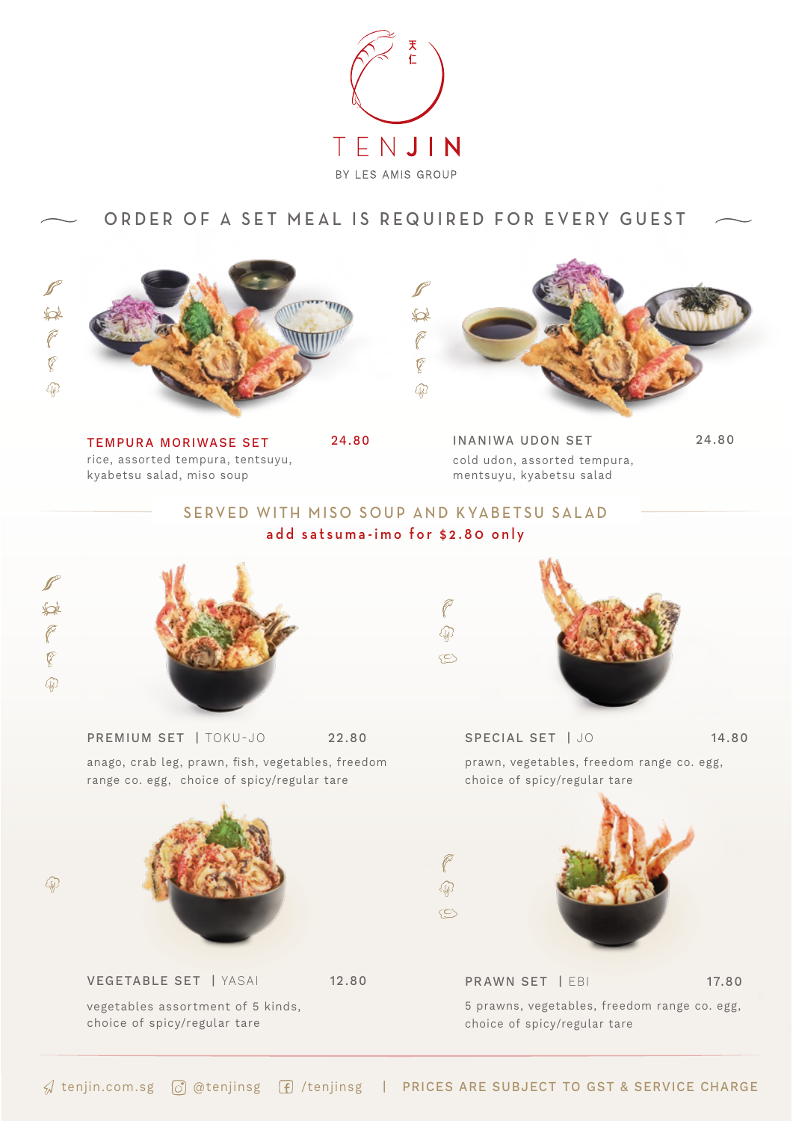

## ORDER OF A SET MEAL IS REQUIRED FOR EVERY GUEST



rice, assorted tempura, tentsuyu, kyabetsu salad, miso soup TEMPURA MORIWASE SET 24.80



cold udon, assorted tempura, mentsuyu, kyabetsu salad INANIWA UDON SET 24.80

## SERVED WITH MISO SOUP AND KYABETSU SALAD add satsuma-imo for \$2.80 only



 $\mathbb{Q}$ 



anago, crab leg, prawn, fish, vegetables, freedom



vegetables assortment of 5 kinds, choice of spicy/regular tare



PREMIUM SET | TOKU-JO 22.80 SPECIAL SET | JO 34.80 prawn, vegetables, freedom range co. egg, choice of spicy/regular tare



5 prawns, vegetables, freedom range co. egg, choice of spicy/regular tare PRAWN SET | EBI 17.80